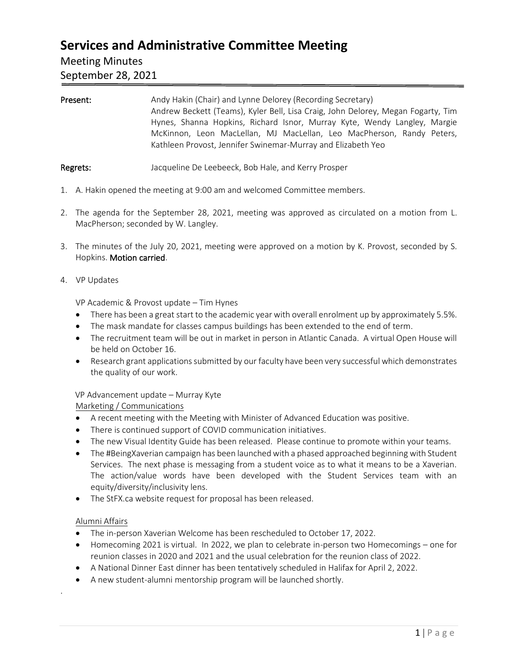## **Services and Administrative Committee Meeting**

### Meeting Minutes

### September 28, 2021

| Present: | Andy Hakin (Chair) and Lynne Delorey (Recording Secretary)<br>Andrew Beckett (Teams), Kyler Bell, Lisa Craig, John Delorey, Megan Fogarty, Tim<br>Hynes, Shanna Hopkins, Richard Isnor, Murray Kyte, Wendy Langley, Margie<br>McKinnon, Leon MacLellan, MJ MacLellan, Leo MacPherson, Randy Peters,<br>Kathleen Provost, Jennifer Swinemar-Murray and Elizabeth Yeo |
|----------|---------------------------------------------------------------------------------------------------------------------------------------------------------------------------------------------------------------------------------------------------------------------------------------------------------------------------------------------------------------------|
| Regrets: | Jacqueline De Leebeeck, Bob Hale, and Kerry Prosper                                                                                                                                                                                                                                                                                                                 |

- 1. A. Hakin opened the meeting at 9:00 am and welcomed Committee members.
- 2. The agenda for the September 28, 2021, meeting was approved as circulated on a motion from L. MacPherson; seconded by W. Langley.
- 3. The minutes of the July 20, 2021, meeting were approved on a motion by K. Provost, seconded by S. Hopkins. Motion carried.

#### 4. VP Updates

VP Academic & Provost update – Tim Hynes

- There has been a great start to the academic year with overall enrolment up by approximately 5.5%.
- The mask mandate for classes campus buildings has been extended to the end of term.
- The recruitment team will be out in market in person in Atlantic Canada. A virtual Open House will be held on October 16.
- Research grant applications submitted by our faculty have been very successful which demonstrates the quality of our work.

#### VP Advancement update – Murray Kyte

### Marketing / Communications

- A recent meeting with the Meeting with Minister of Advanced Education was positive.
- There is continued support of COVID communication initiatives.
- The new Visual Identity Guide has been released. Please continue to promote within your teams.
- The #BeingXaverian campaign has been launched with a phased approached beginning with Student Services. The next phase is messaging from a student voice as to what it means to be a Xaverian. The action/value words have been developed with the Student Services team with an equity/diversity/inclusivity lens.
- The StFX.ca website request for proposal has been released.

#### Alumni Affairs

.

- The in-person Xaverian Welcome has been rescheduled to October 17, 2022.
- Homecoming 2021 is virtual. In 2022, we plan to celebrate in-person two Homecomings one for reunion classes in 2020 and 2021 and the usual celebration for the reunion class of 2022.
- A National Dinner East dinner has been tentatively scheduled in Halifax for April 2, 2022.
- A new student-alumni mentorship program will be launched shortly.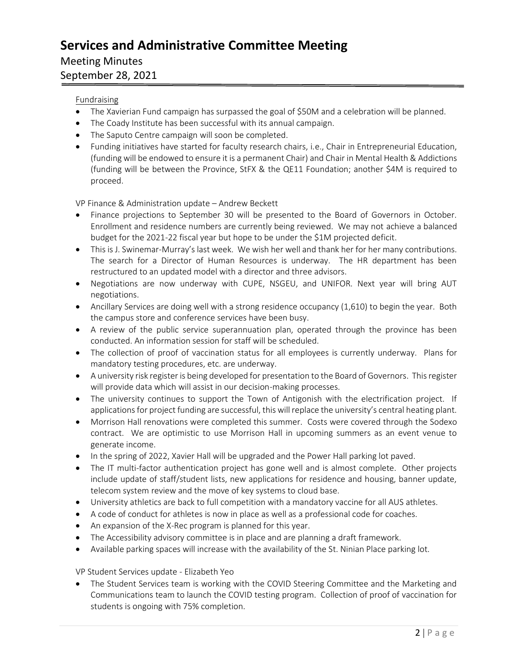# **Services and Administrative Committee Meeting**

## Meeting Minutes

## September 28, 2021

### Fundraising

- The Xavierian Fund campaign has surpassed the goal of \$50M and a celebration will be planned.
- The Coady Institute has been successful with its annual campaign.
- The Saputo Centre campaign will soon be completed.
- Funding initiatives have started for faculty research chairs, i.e., Chair in Entrepreneurial Education, (funding will be endowed to ensure it is a permanent Chair) and Chair in Mental Health & Addictions (funding will be between the Province, StFX & the QE11 Foundation; another \$4M is required to proceed.

VP Finance & Administration update – Andrew Beckett

- Finance projections to September 30 will be presented to the Board of Governors in October. Enrollment and residence numbers are currently being reviewed. We may not achieve a balanced budget for the 2021-22 fiscal year but hope to be under the \$1M projected deficit.
- This is J. Swinemar-Murray's last week. We wish her well and thank her for her many contributions. The search for a Director of Human Resources is underway. The HR department has been restructured to an updated model with a director and three advisors.
- Negotiations are now underway with CUPE, NSGEU, and UNIFOR. Next year will bring AUT negotiations.
- Ancillary Services are doing well with a strong residence occupancy (1,610) to begin the year. Both the campus store and conference services have been busy.
- A review of the public service superannuation plan, operated through the province has been conducted. An information session for staff will be scheduled.
- The collection of proof of vaccination status for all employees is currently underway. Plans for mandatory testing procedures, etc. are underway.
- A university risk register is being developed for presentation to the Board of Governors. This register will provide data which will assist in our decision-making processes.
- The university continues to support the Town of Antigonish with the electrification project. If applications for project funding are successful, this will replace the university's central heating plant.
- Morrison Hall renovations were completed this summer. Costs were covered through the Sodexo contract. We are optimistic to use Morrison Hall in upcoming summers as an event venue to generate income.
- In the spring of 2022, Xavier Hall will be upgraded and the Power Hall parking lot paved.
- The IT multi-factor authentication project has gone well and is almost complete. Other projects include update of staff/student lists, new applications for residence and housing, banner update, telecom system review and the move of key systems to cloud base.
- University athletics are back to full competition with a mandatory vaccine for all AUS athletes.
- A code of conduct for athletes is now in place as well as a professional code for coaches.
- An expansion of the X-Rec program is planned for this year.
- The Accessibility advisory committee is in place and are planning a draft framework.
- Available parking spaces will increase with the availability of the St. Ninian Place parking lot.

VP Student Services update - Elizabeth Yeo

• The Student Services team is working with the COVID Steering Committee and the Marketing and Communications team to launch the COVID testing program. Collection of proof of vaccination for students is ongoing with 75% completion.